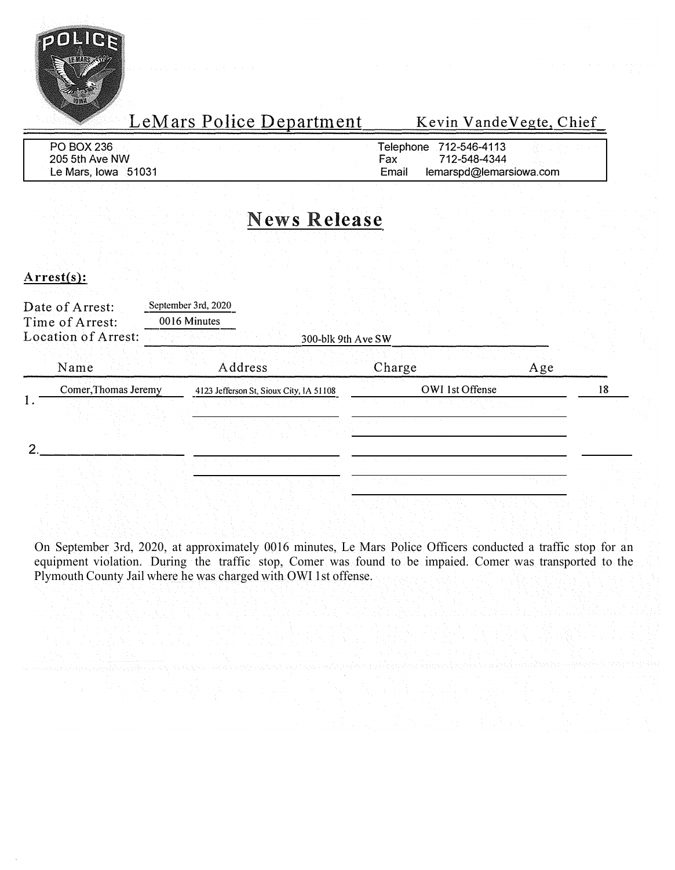

| <b>PO BOX 236</b>   | Telephone | 712-546-4113            |  |
|---------------------|-----------|-------------------------|--|
| 205 5th Ave NW      | Fax       | 712-548-4344            |  |
| Le Mars, Iowa 51031 | Email     | lemarspd@lemarsiowa.com |  |

### **News Release**

#### Arrest(s):

| Date of Arrest:<br>Time of Arrest:<br>Location of Arrest: | September 3rd, 2020<br>0016 Minutes     | 300-blk 9th Ave SW |     |    |
|-----------------------------------------------------------|-----------------------------------------|--------------------|-----|----|
| Name                                                      | Address                                 | Charge             | Age |    |
| Comer, Thomas Jeremy                                      | 4123 Jefferson St, Sioux City, IA 51108 | OWI 1st Offense    |     | 18 |
|                                                           |                                         |                    |     |    |
|                                                           |                                         |                    |     |    |
|                                                           |                                         |                    |     |    |
|                                                           |                                         |                    |     |    |

On September 3rd, 2020, at approximately 0016 minutes, Le Mars Police Officers conducted a traffic stop for an equipment violation. During the traffic stop, Comer was found to be impaied. Comer was transported to the Plymouth County Jail where he was charged with OWI 1st offense.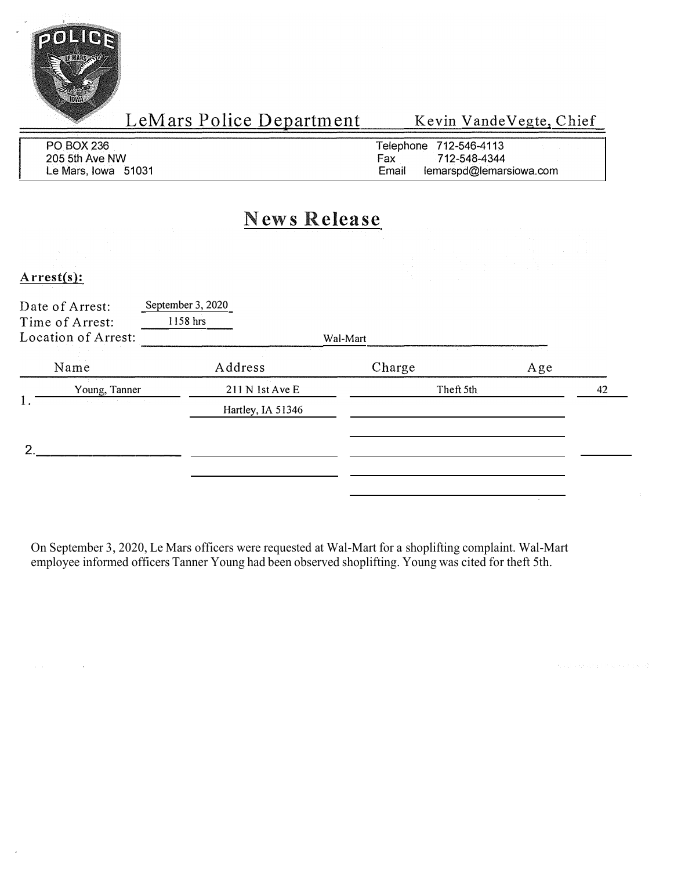

LeMars Police Department

Kevin VandeVegte, Chief

| PO BOX 236          | Felephone 712-546-4113           |
|---------------------|----------------------------------|
| 205 5th Ave NW      | 712-548-4344<br>Fax              |
| Le Mars, Iowa 51031 | lemarspd@lemarsiowa.com<br>Email |

#### **News Release**

**Arrest(s):** 

| Date of Arrest:<br>Time of Arrest:<br>Location of Arrest: | September 3, 2020<br>1158 hrs | Wal-Mart  |     |    |
|-----------------------------------------------------------|-------------------------------|-----------|-----|----|
| Name                                                      | Address                       | Charge    | Age |    |
| Young, Tanner                                             | 211 N 1st Ave E               | Theft 5th |     | 42 |
| 1.<br>and the state of the state                          | Hartley, IA 51346             |           |     |    |
| າ                                                         |                               |           |     |    |
|                                                           |                               |           |     |    |
|                                                           |                               |           |     |    |

On September 3, 2020, Le Mars officers were requested at Wal-Mart for a shoplifting complaint. Wal-Mart employee informed officers Tanner Young had been observed shoplifting. Young was cited for theft 5th.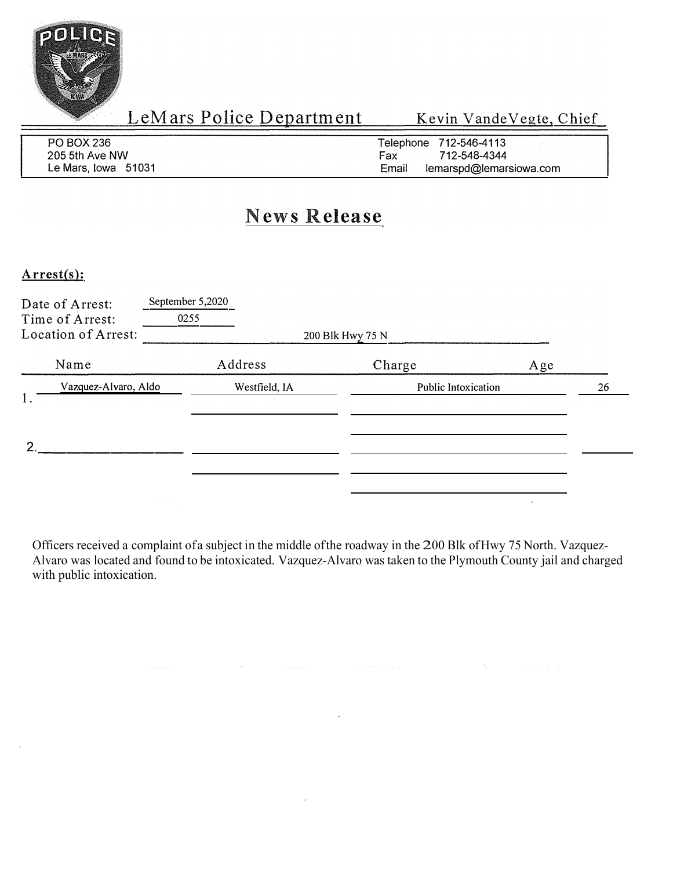

| PO BOX 236          | Telephone 712-546-4113           |
|---------------------|----------------------------------|
| 205 5th Ave NW      | 712-548-4344<br>Fax              |
| Le Mars, Iowa 51031 | Email<br>lemarspd@lemarsiowa.com |

## **News Release**

**Arrest(s):** 

| Date of Arrest:<br>Time of Arrest:<br>Location of Arrest: | September 5,2020<br>0255 |                            |     |    |
|-----------------------------------------------------------|--------------------------|----------------------------|-----|----|
| Name                                                      | Address                  | 200 Blk Hwy 75 N<br>Charge | Age |    |
| Vazquez-Alvaro, Aldo<br>1.                                | Westfield, IA            | Public Intoxication        |     | 26 |
| ົ                                                         |                          |                            |     |    |
|                                                           |                          |                            |     |    |

Officers received a complaint of a subject in the middle of the roadway in the 200 Blk of Hwy 75 North. Vazquez-Alvaro was located and found to be intoxicated. Vazquez-Alvaro was taken to the Plymouth County jail and charged with public intoxication.

 $\hat{\mathbf{v}}$ 

.<br>De deux de la constitución de la constitución de la constitución de la constitución de la constitución de la c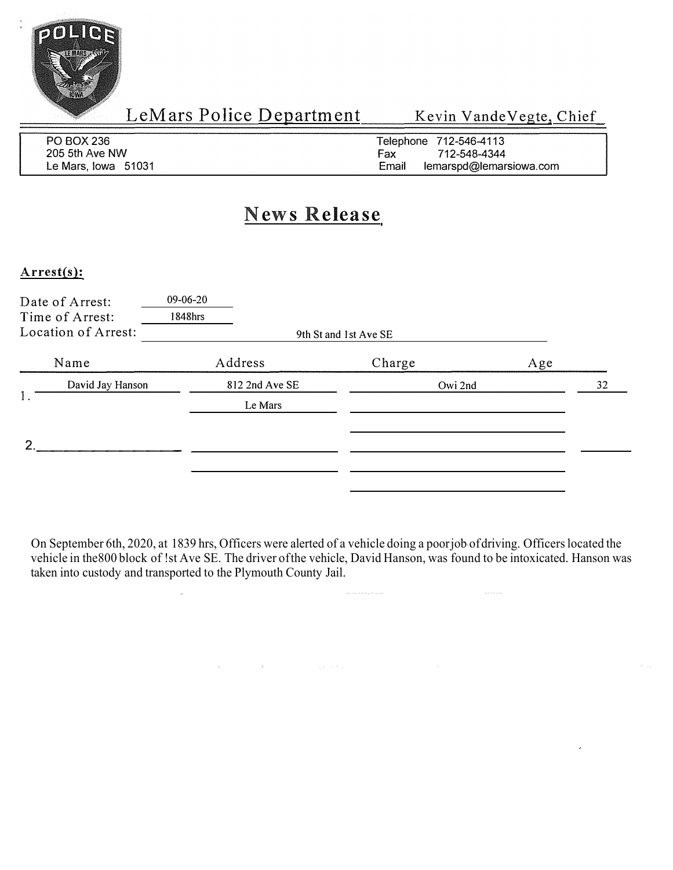

| PO BOX 236          | Telephone 712-546-4113           |
|---------------------|----------------------------------|
| 205 5th Ave NW      | 712-548-4344<br>Fax              |
| Le Mars, Iowa 51031 | Email<br>lemarspd@lemarsiowa.com |

#### **News Release**

#### **Arrest(s):**

|    | Date of Arrest:<br>Time of Arrest:<br>Location of Arrest: | 09-06-20<br>1848hrs | 9th St and 1st Ave SE |     |
|----|-----------------------------------------------------------|---------------------|-----------------------|-----|
|    | Name                                                      | Address             | Charge                | Age |
| 1. | David Jay Hanson                                          | 812 2nd Ave SE      | Owi 2nd               | 32  |
|    |                                                           | Le Mars             |                       |     |
| ◠  |                                                           |                     |                       |     |
|    |                                                           |                     |                       |     |
|    |                                                           |                     |                       |     |

On September 6th, 2020, at 1839 hrs, Officers were alerted of a vehicle doing a poor job of driving. Officers located the vehicle in the 800 block of !st Ave SE. The driver of the vehicle, David Hanson, was found to be intoxicated. Hanson was taken into custody and transported to the Plymouth County Jail.

 $\mathcal{A}_{\mathcal{C}}$ 

and the control of the control of the control of the control of the control of the control of the control of the control of the control of the control of the control of the control of the control of the control of the cont

 $\mathbb{Z}^2$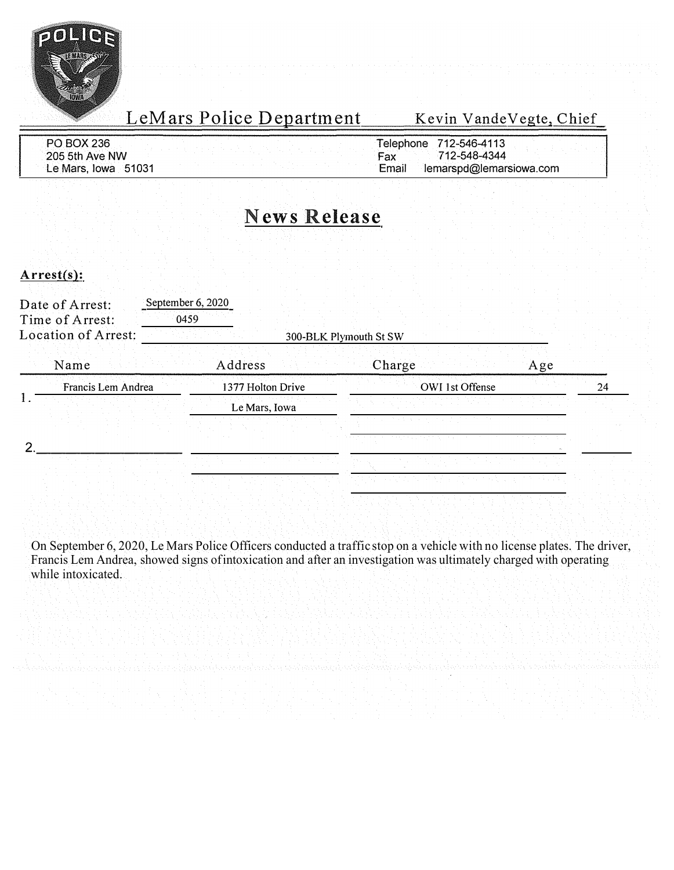

LeMars Police Department

Kevin Vande Vegte, Chief

| PO BOX 236          | Telephone | 712-546-4113            |  |
|---------------------|-----------|-------------------------|--|
| 205 5th Ave NW      | ⊦ax       | 712-548-4344            |  |
| Le Mars, Iowa 51031 | Email     | lemarspd@lemarsiowa.com |  |

## **News Release**

#### **Arrest(s):**

| Date of Arrest:<br>Time of Arrest: | September 6, 2020<br>0459 |                   |                        |     |    |
|------------------------------------|---------------------------|-------------------|------------------------|-----|----|
| Location of Arrest:                |                           |                   | 300-BLK Plymouth St SW |     |    |
| Name                               | Address                   |                   | Charge                 | Age |    |
| Francis Lem Andrea                 |                           | 1377 Holton Drive | <b>OWI</b> 1st Offense |     | 24 |
|                                    |                           | Le Mars, Iowa     |                        |     |    |
|                                    |                           |                   |                        |     |    |
|                                    |                           |                   |                        |     |    |

On September 6, 2020, Le Mars Police Officers conducted a traffic stop on a vehicle with no license plates. The driver, Francis Lem Andrea, showed signs of intoxication and after an investigation was ultimately charged with operating while intoxicated.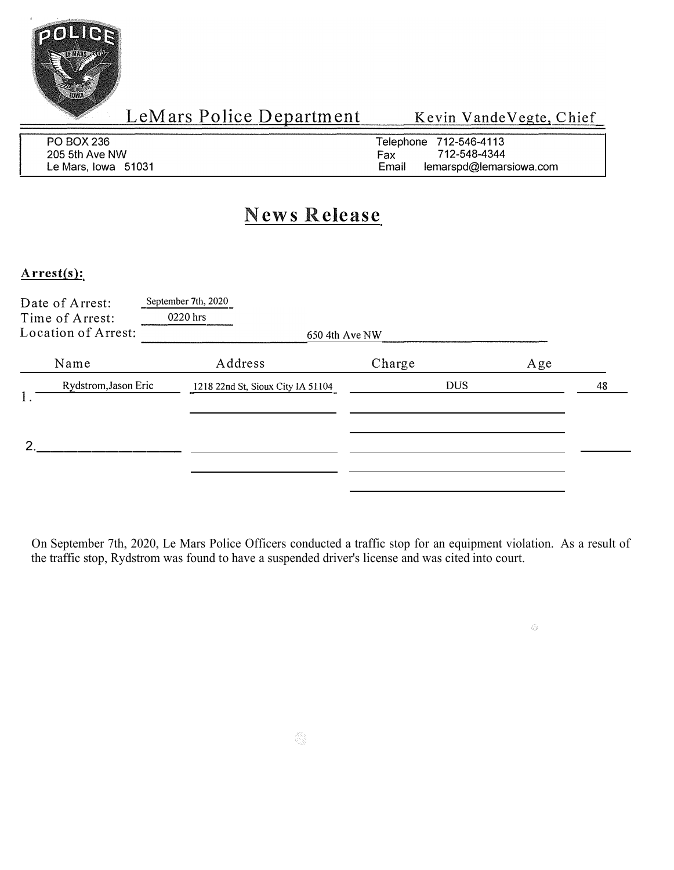

 $\hat{\mathcal{L}}_{\mathcal{F}}^{(i)}$ 

| PO BOX 236          | Telephone 712-546-4113           |
|---------------------|----------------------------------|
| 205 5th Ave NW      | 712-548-4344<br>Fax              |
| Le Mars, Iowa 51031 | Email<br>lemarspd@lemarsiowa.com |

### **News Release**

#### **Arrest(s):**

| Date of Arrest:<br>Time of Arrest:<br>Location of Arrest: | September 7th, 2020<br>0220 hrs<br>650 4th Ave NW |            |     |    |
|-----------------------------------------------------------|---------------------------------------------------|------------|-----|----|
| Name                                                      | Address                                           | Charge     | Age |    |
| Rydstrom, Jason Eric                                      | 1218 22nd St, Sioux City IA 51104                 | <b>DUS</b> |     | 48 |
|                                                           |                                                   |            |     |    |

On September 7th, 2020, Le Mars Police Officers conducted a traffic stop for an equipment violation. As a result of the traffic stop, Rydstrom was found to have a suspended driver's license and was cited into court.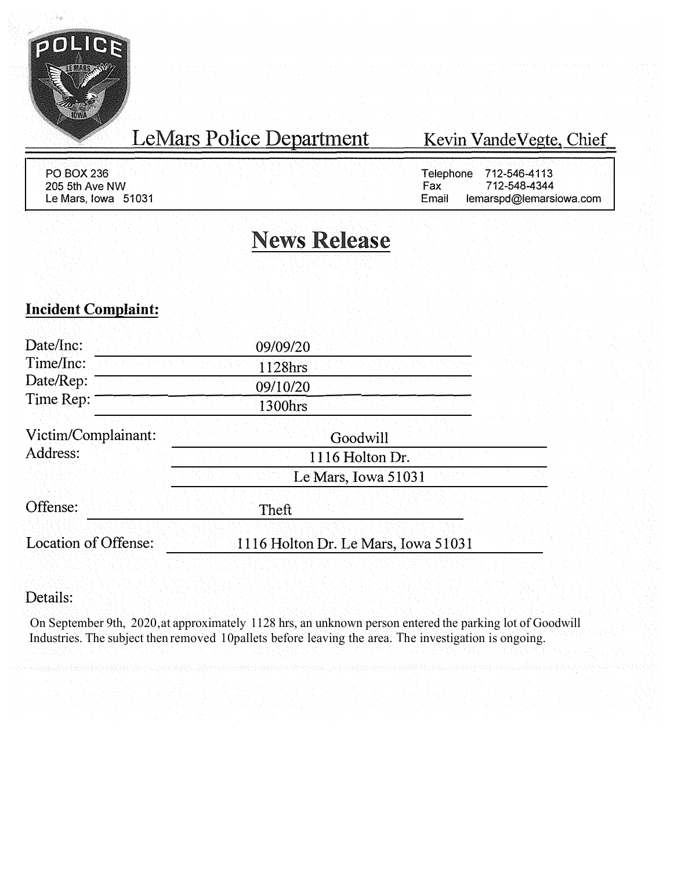

# LeMars Police Department

#### Kevin Vande Vegte, Chief

PO BOX236 205 5th Ave NW Le Mars, Iowa 51031

Telephone 712-546-4113<br>Fax 712-548-4344 Fax 712-548-4344<br>Email lemarspd@lemarsi lemarspd@lemarsiowa.com

# **News Release**

#### **Incident Complaint:**

| Date/Inc:            | 09/09/20                            |
|----------------------|-------------------------------------|
| Time/Inc:            | 1128hrs                             |
| Date/Rep:            | 09/10/20                            |
| Time Rep:            | 1300hrs                             |
| Victim/Complainant:  | Goodwill                            |
| Address:             | 1116 Holton Dr.                     |
|                      | Le Mars, Iowa 51031                 |
| Offense:             | Theft                               |
| Location of Offense: | 1116 Holton Dr. Le Mars, Iowa 51031 |

#### Details:

On September 9th, 2020 , at approximately 1128 hrs, an unknown person entered the parking lot of Goodwill Industries. The subject then removed 10 pallets before leaving the area. The investigation is ongoing.